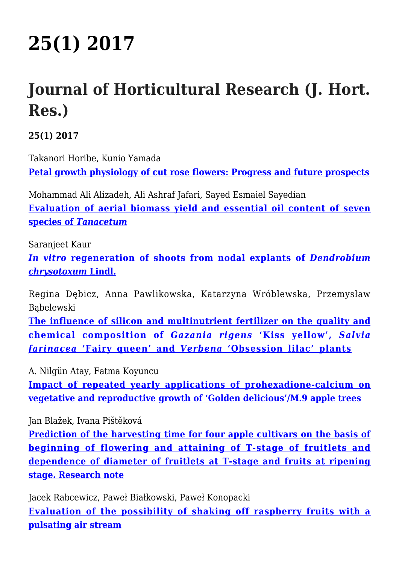## **[25\(1\) 2017](http://www.inhort.pl/journal-of-horticultural-research/251-2017/)**

## **Journal of Horticultural Research (J. Hort. Res.)**

**25(1) 2017**

Takanori Horibe, Kunio Yamada **[Petal growth physiology of cut rose flowers: Progress and future prospects](https://www.degruyter.com/downloadpdf/j/johr.2017.25.issue-1/johr-2017-0001/johr-2017-0001.xml)**

Mohammad Ali Alizadeh, Ali Ashraf Jafari, Sayed Esmaiel Sayedian **[Evaluation of aerial biomass yield and essential oil content of seven](https://www.degruyter.com/downloadpdf/j/johr.2017.25.issue-1/johr-2017-0002/johr-2017-0002.xml) [species of](https://www.degruyter.com/downloadpdf/j/johr.2017.25.issue-1/johr-2017-0002/johr-2017-0002.xml)** *[Tanacetum](https://www.degruyter.com/downloadpdf/j/johr.2017.25.issue-1/johr-2017-0002/johr-2017-0002.xml)*

Saranjeet Kaur

*[In vitro](https://www.degruyter.com/downloadpdf/j/johr.2017.25.issue-1/johr-2017-0003/johr-2017-0003.xml)* **[regeneration of shoots from nodal explants of](https://www.degruyter.com/downloadpdf/j/johr.2017.25.issue-1/johr-2017-0003/johr-2017-0003.xml)** *[Dendrobium](https://www.degruyter.com/downloadpdf/j/johr.2017.25.issue-1/johr-2017-0003/johr-2017-0003.xml) [chrysotoxum](https://www.degruyter.com/downloadpdf/j/johr.2017.25.issue-1/johr-2017-0003/johr-2017-0003.xml)* **[Lindl.](https://www.degruyter.com/downloadpdf/j/johr.2017.25.issue-1/johr-2017-0003/johr-2017-0003.xml)**

Regina Dębicz, Anna Pawlikowska, Katarzyna Wróblewska, Przemysław Bąbelewski

**[The influence of silicon and multinutrient fertilizer on the quality and](https://www.degruyter.com/downloadpdf/j/johr.2017.25.issue-1/johr-2017-0004/johr-2017-0004.xml) [chemical composition of](https://www.degruyter.com/downloadpdf/j/johr.2017.25.issue-1/johr-2017-0004/johr-2017-0004.xml)** *[Gazania rigens](https://www.degruyter.com/downloadpdf/j/johr.2017.25.issue-1/johr-2017-0004/johr-2017-0004.xml)* **['Kiss yellow',](https://www.degruyter.com/downloadpdf/j/johr.2017.25.issue-1/johr-2017-0004/johr-2017-0004.xml)** *[Salvia](https://www.degruyter.com/downloadpdf/j/johr.2017.25.issue-1/johr-2017-0004/johr-2017-0004.xml) [farinacea](https://www.degruyter.com/downloadpdf/j/johr.2017.25.issue-1/johr-2017-0004/johr-2017-0004.xml)* **['Fairy queen' and](https://www.degruyter.com/downloadpdf/j/johr.2017.25.issue-1/johr-2017-0004/johr-2017-0004.xml)** *[Verbena](https://www.degruyter.com/downloadpdf/j/johr.2017.25.issue-1/johr-2017-0004/johr-2017-0004.xml)* **['Obsession lilac' plants](https://www.degruyter.com/downloadpdf/j/johr.2017.25.issue-1/johr-2017-0004/johr-2017-0004.xml)**

A. Nilgün Atay, Fatma Koyuncu

**[Impact of repeated yearly applications of prohexadione-calcium on](https://www.degruyter.com/downloadpdf/j/johr.2017.25.issue-1/johr-2017-0005/johr-2017-0005.xml) [vegetative and reproductive growth of 'Golden delicious'/M.9 apple trees](https://www.degruyter.com/downloadpdf/j/johr.2017.25.issue-1/johr-2017-0005/johr-2017-0005.xml)**

Jan Blažek, Ivana Pištěková

**[Prediction of the harvesting time for four apple cultivars on the basis of](https://www.degruyter.com/downloadpdf/j/johr.2017.25.issue-1/johr-2017-0006/johr-2017-0006.xml) [beginning of flowering and attaining of T-stage of fruitlets and](https://www.degruyter.com/downloadpdf/j/johr.2017.25.issue-1/johr-2017-0006/johr-2017-0006.xml) [dependence of diameter of fruitlets at T-stage and fruits at ripening](https://www.degruyter.com/downloadpdf/j/johr.2017.25.issue-1/johr-2017-0006/johr-2017-0006.xml) [stage. Research note](https://www.degruyter.com/downloadpdf/j/johr.2017.25.issue-1/johr-2017-0006/johr-2017-0006.xml)**

Jacek Rabcewicz, Paweł Białkowski, Paweł Konopacki **[Evaluation of the possibility of shaking off raspberry fruits with a](https://www.degruyter.com/downloadpdf/j/johr.2017.25.issue-1/johr-2017-0007/johr-2017-0007.xml) [pulsating air stream](https://www.degruyter.com/downloadpdf/j/johr.2017.25.issue-1/johr-2017-0007/johr-2017-0007.xml)**